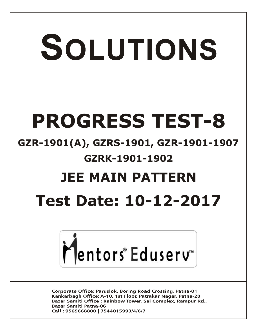# SOLUTIONS **PROGRESS TEST-8 GZR-1901(A), GZRS-1901, GZR-1901-1907 GZRK-1901-1902 JEE MAIN PATTERN Test Date: 10-12-2017**



**Corporate Office: Paruslok, Boring Road Crossing, Patna-01** Kankarbagh Office: A-10, 1st Floor, Patrakar Nagar, Patna-20 Bazar Samiti Office: Rainbow Tower, Sai Complex, Rampur Rd., **Bazar Samiti Patna-06** Call: 9569668800 | 7544015993/4/6/7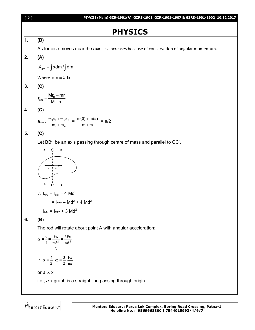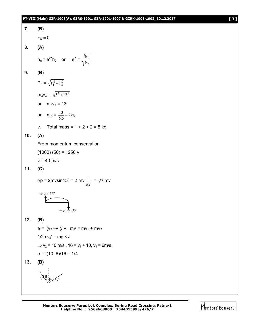#### **PT-VIII (Main) GZR-1901(A), GZRS-1901, GZR-1901-1907 & GZRK-1901-1902\_10.12.2017 [ 3 ]**



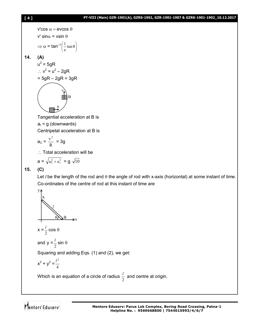#### **[ 4 ] PT-VIII (Main) GZR-1901(A), GZRS-1901, GZR-1901-1907 & GZRK-1901-1902\_10.12.2017**

$$
[4]
$$

**14. (A)**

$$
\mathsf{v'cos} \alpha = \mathsf{evcos} \theta
$$
\n
$$
\mathsf{v' sin} \alpha = \mathsf{vsin} \theta
$$
\n
$$
\Rightarrow \alpha = \mathsf{tan}^{-1}\left(\frac{1}{e}\mathsf{tan} \theta\right)
$$
\n
$$
(A)
$$

$$
u2 = 5gR
$$
  
:.  $v2 = u2 - 2gR$ 

$$
=5gR-2gR=3gR
$$

$$
\begin{pmatrix}\n\ddots \\
\ddots \\
\ddots\n\end{pmatrix}
$$

Tangential acceleration at B is

 $a_t = g$  (downwards)

Centripetal acceleration at B is

$$
a_C = \frac{v^2}{R} = 3g
$$

 $\therefore$  Total acceleration will be

$$
a = \sqrt{a_C^2 + a_t^2} = g \sqrt{10}
$$

# **15. (C)**

Let *I* be the length of the rod and  $\theta$  the angle of rod with x-axis (horizontal) at some instant of time. Co-ordinates of the centre of rod at this instant of time are

$$
x = \frac{l}{2} \cos \theta
$$
  
\nand  $y = \frac{l}{2} \sin \theta$   
\nSquaring and adding Eqs. (1) and (2), we get:  
\n $x^2 + y^2 = \frac{l^2}{4}$   
\nWhich is an equation of a circle of radius  $\frac{l}{2}$  and centre at origin.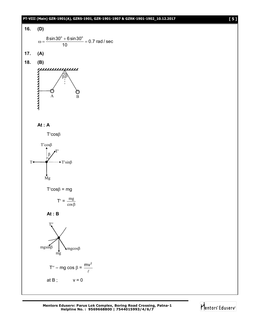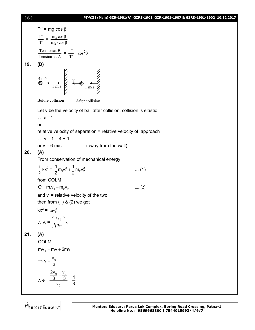# **[ 6 ] PT-VIII (Main) GZR-1901(A), GZRS-1901, GZR-1901-1907 & GZRK-1901-1902\_10.12.2017**



T = mg cos T T = mg / cos mg cos Tension at A Tension at B = cos β T T 2 **19. (D)** 4 m/s 1 m/s 1 m/s v Before collision After collision Let v be the velocity of ball after collision, collision is elastic e =1 or relative velocity of separation = relative velocity of approach v – 1 = 4 + 1 or v = 6 m/s (away from the wall) **20. (A)** From conservation of mechanical energy 2 1 kx<sup>2</sup> = 2 2 1 1 2 2 1 1 m v m v 2 2 ... (1) from COLM O m v m v 1 1 2 2 …..(2) and v<sup>r</sup> = relative velocity of the two then from (1) & (2) we get kx<sup>2</sup> = <sup>2</sup> mv<sup>r</sup> v<sup>r</sup> = x 2m 3k **21. (A)** COLM mv mv 2mv <sup>0</sup> 0 v v 3 0 0 0 2v v 3 3 1 e v 3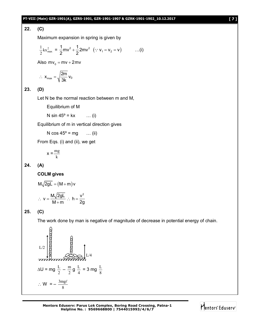#### **PT-VIII (Main) GZR-1901(A), GZRS-1901, GZR-1901-1907 & GZRK-1901-1902\_10.12.2017 [ 7 ]**

## **22. (C)**

Maximum expansion in spring is given by

$$
\frac{1}{2}kx_{max}^2 = \frac{1}{2}mv^2 + \frac{1}{2}2mv^2 \quad (\because v_1 = v_2 = v) \quad ...(i)
$$

Also  $mv_0 = mv + 2mv$ 

$$
\therefore \ x_{max} = \sqrt{\frac{2m}{3k}} \ v_0
$$

**23. (D)**

Let N be the normal reaction between m and M,

Equilibrium of M

```
N sin 45^{\circ} = kx ... (i)
```
Equilibrium of m in vertical direction gives

N  $\cos 45^\circ = mg$  ... (ii)

From Eqs. (i) and (ii), we get

 $x = \frac{m}{k}$ mg

# **24. (A)**

**COLM gives**

$$
M\sqrt{2gL} = (M+m)v
$$
  
∴ 
$$
v = \frac{M\sqrt{2gL}}{M+m}
$$
∴ 
$$
h = \frac{v^2}{2g}
$$

## **25. (C)**

The work done by man is negative of magnitude of decrease in potential energy of chain.

L/2  
\n
$$
\begin{bmatrix}\n1.2 \\
0.0 \\
0.0 \\
0.0 \\
0.0\n\end{bmatrix}
$$
\n
$$
\begin{bmatrix}\n1.4 \\
0.0 \\
0.0 \\
0.0\n\end{bmatrix}
$$
\n
$$
\begin{bmatrix}\n1.4 \\
0.0 \\
0.0 \\
0.0\n\end{bmatrix}
$$
\n
$$
\begin{bmatrix}\n1.4 \\
0.0 \\
0.0 \\
0.0\n\end{bmatrix}
$$
\n
$$
\begin{bmatrix}\n1.4 \\
0.0 \\
0.0 \\
0.0\n\end{bmatrix}
$$
\n
$$
\begin{bmatrix}\n1.4 \\
0.0 \\
0.0 \\
0.0\n\end{bmatrix}
$$
\n
$$
\begin{bmatrix}\n1.4 \\
0.0 \\
0.0 \\
0.0\n\end{bmatrix}
$$

**Mentors Eduserv: Parus Lok Complex, Boring Road Crossing, Patna-1 Helpline No. : 9569668800 | 7544015993/4/6/7**

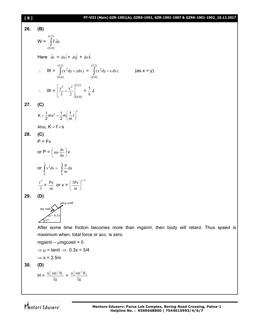# **[ 8 ] PT-VIII (Main) GZR-1901(A), GZRS-1901, GZR-1901-1907 & GZRK-1901-1902\_10.12.2017**

| 26. | (B)                                                                                                                      |
|-----|--------------------------------------------------------------------------------------------------------------------------|
|     | $\mathsf{W} = \int\limits^{(1,1)} \vec{\mathrm{F}}.\vec{\mathrm{d}}\mathrm{x}$<br>(0,0)                                  |
|     | Here $\vec{ds} = dx\hat{i} + dy\hat{j} + dz\hat{k}$                                                                      |
|     | $\therefore$ W = $\int_{0}^{(1,1)} (x^2 dy + y dx) = \int_{0}^{(1,1)} (x^2 dy + x dx)$<br>$(as x = y)$<br>(0,0)<br>(0,0) |
|     | $\therefore \quad W = \left[\frac{y^3}{3} + \frac{x^2}{2}\right]_{(0,0)}^{(1,1)} = \frac{5}{6} J$                        |
| 27. | (C)                                                                                                                      |
|     | $K = \frac{1}{2}mv^2 = \frac{1}{2}m(\frac{f}{m}t)^2$                                                                     |
|     | Also, $K = f \times s$                                                                                                   |
| 28. | (C)                                                                                                                      |
|     | $P = Fv$                                                                                                                 |
|     | or $P = \left( m v \frac{dv}{dx} \right) v$                                                                              |
|     | or $\int_{0}^{x} v^2 dv = \int_{0}^{x} \frac{P}{m} dx$                                                                   |
|     | $\frac{v^3}{3} = \frac{Px}{m}$ or $v = \left(\frac{3Px}{m}\right)^{1/3}$                                                 |
| 29. | (D)                                                                                                                      |
|     | $\mu$ m g cos $\theta$<br>$\text{mg}$ sin $\theta$                                                                       |
|     | $= 0.3x$                                                                                                                 |
|     | After some time friction becomes more than mgsin $\theta$ , then body will retard. Thus speed is                         |
|     | maximum when, total force or acc. is zero.                                                                               |
|     | $mgsin\theta - \mu mgcos\theta = 0$                                                                                      |
|     | $\Rightarrow \mu = \tan \theta \Rightarrow 0.3x = 3/4$                                                                   |

$$
\Rightarrow
$$
 x = 2.5m

$$
30. \qquad (D)
$$

$$
H = \frac{u_1^2 \sin^2 \theta_1}{2g} = \frac{u_2^2 \sin^2 \theta_2}{2g}
$$

$$
\overline{\text{M}}_{\text{entors}^*} \text{E} \text{d} \text{user} \text{w}^*
$$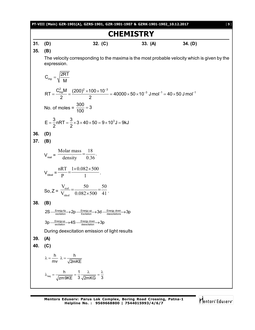|     | PT-VIII (Main) GZR-1901(A), GZRS-1901, GZR-1901-1907 & GZRK-1901-1902_10.12.2017<br>$[9]$                                                                    |
|-----|--------------------------------------------------------------------------------------------------------------------------------------------------------------|
|     | <b>CHEMISTRY</b>                                                                                                                                             |
| 31. | (D)<br>32. $(C)$<br>34. (D)<br>33. (A)                                                                                                                       |
| 35. | (B)                                                                                                                                                          |
|     | The velocity corresponding to the maxima is the most probable velocity which is given by the<br>expression.                                                  |
|     | $C_{mp} = \sqrt{\frac{2RT}{M}}$                                                                                                                              |
|     | $RT = \frac{C_{mp}^2 M}{2} = \frac{(200)^2 \times 100 \times 10^{-3}}{2} = 40000 \times 50 \times 10^{-3}$ J mol <sup>-1</sup> = 40 × 50 J mol <sup>-1</sup> |
|     | No. of moles = $\frac{300}{100}$ = 3                                                                                                                         |
|     | $E = \frac{3}{2}nRT = \frac{3}{2} \times 3 \times 40 \times 50 = 9 \times 10^{3} J = 9 kJ$                                                                   |
| 36. | (D)                                                                                                                                                          |
| 37. | (B)                                                                                                                                                          |
|     | $V_{\text{real}} = \frac{\text{Molar mass}}{\text{density}} = \frac{18}{0.36}.$                                                                              |
|     | $V_{\text{ideal}} = \frac{nRT}{p} = \frac{1 \times 0.082 \times 500}{1}$ .                                                                                   |
|     | So, $Z = \frac{V_{\text{real}}}{V_{\text{ideal}}} = \frac{50}{0.082 \times 500} = \frac{50}{41}$ .                                                           |
| 38. | (B)                                                                                                                                                          |
|     | $2S \xrightarrow{\text{Energy 4p}} 2p \xrightarrow{\text{Energy up}} 3d \xrightarrow{\text{Energy down}} 3p$                                                 |
|     | $3p \xrightarrow{\text{Energy up}} 4S \xrightarrow{\text{Energy down}} 3p$                                                                                   |
|     | During deexcitation emission of light results                                                                                                                |
| 39. | (A)                                                                                                                                                          |
| 40. | (C)                                                                                                                                                          |
|     | $\lambda = \frac{h}{mv}$ $\lambda = \frac{h}{\sqrt{2mKE}}$                                                                                                   |
|     | $\lambda_{\text{req}} = \frac{h}{\sqrt{zm9KE}} = \frac{1}{3} \frac{\lambda}{\sqrt{2mKG}} = \frac{\lambda}{3}$                                                |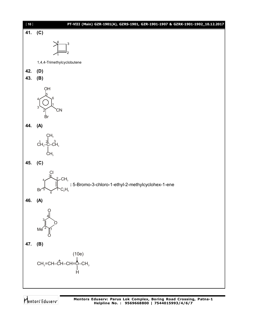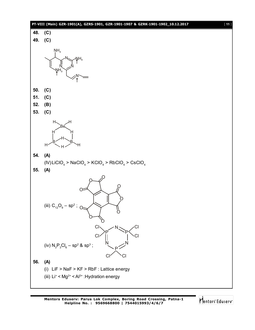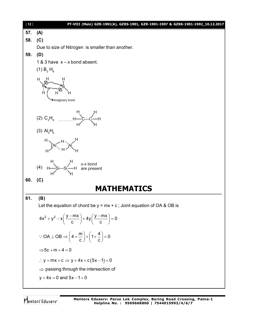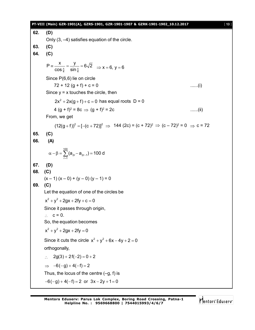#### **PT-VIII (Main) GZR-1901(A), GZRS-1901, GZR-1901-1907 & GZRK-1901-1902\_10.12.2017** [ **13** ]

**62. (D)** Only (3, –4) satisfies equation of the circle. **63. (C) 64. (C)** 4 UHL 4  $P \equiv \frac{x}{x} = \frac{y}{x} = 6\sqrt{2}$  $\equiv \frac{\kappa}{\cos \frac{\pi}{4}} = \frac{J}{\sin \frac{\pi}{4}} = 6\sqrt{2} \implies x = 6, y = 6$ Since P(6,6) lie on circle  $72 + 12$  (q + f) + c = 0 ......(i) Since  $y = x$  touches the circle, then  $2x^2 + 2x(g + f) + c = 0$  has equal roots  $D = 0$ 4 (g + f)<sup>2</sup> = 8c  $\Rightarrow$  (g + f)<sup>2</sup>  $\ldots$ .....(ii) From, we get  $(12(g + f))^2 = [-(c + 72)]^2 \Rightarrow 144 (2c) = (c + 72)^2 \Rightarrow (c - 72)^2 = 0 \Rightarrow c = 72$ **65. (C) 66. (A)** 100  $\alpha - \beta = \sum_{r=1}^{\infty} (a_{2r} - a_{2r-1}) = 100$  d **67. (D) 68. (C)**  $(x - 1)(x - 0) + (y - 0)(y - 1) = 0$ **69. (C)** Let the equation of one of the circles be  $x^2 + y^2 + 2gx + 2fy + c = 0$ Since it passes through origin,  $\therefore$  c = 0. So, the equation becomes  $x^2 + y^2 + 2gx + 2fy = 0$ Since it cuts the circle  $x^2 + y^2 + 6x - 4y + 2 = 0$ orthogonally,  $\therefore$  2g(3) + 2f(-2) = 0 + 2  $\Rightarrow$   $-6(-g) + 4(-f) = 2$ Thus, the locus of the centre  $(-q, f)$  is  $-6(-g) + 4(-f) = 2$  or  $3x - 2y + 1 = 0$ 

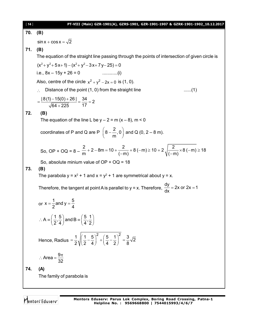| $[14]$                                                                                          | PT-VIII (Main) GZR-1901(A), GZRS-1901, GZR-1901-1907 & GZRK-1901-1902_10.12.2017                                                                |  |  |  |
|-------------------------------------------------------------------------------------------------|-------------------------------------------------------------------------------------------------------------------------------------------------|--|--|--|
| 70.                                                                                             | (B)                                                                                                                                             |  |  |  |
|                                                                                                 | $\sin x + \cos x = \sqrt{2}$                                                                                                                    |  |  |  |
| 71.                                                                                             | (B)                                                                                                                                             |  |  |  |
| The equation of the straight line passing through the points of intersection of given circle is |                                                                                                                                                 |  |  |  |
|                                                                                                 | $(x^{2}+y^{2}+5x+1)-(x^{2}+y^{2}-3x+7y-25)=0$                                                                                                   |  |  |  |
|                                                                                                 | i.e., $8x - 15y + 26 = 0$                                                                                                                       |  |  |  |
|                                                                                                 | Also, centre of the circle $x^2 + y^2 - 2x = 0$ is (1, 0).                                                                                      |  |  |  |
|                                                                                                 | Distance of the point (1, 0) from the straight line<br>(1)                                                                                      |  |  |  |
|                                                                                                 | $=\frac{8(1)-15(0)+26}{\sqrt{64+225}}=\frac{34}{17}=2$                                                                                          |  |  |  |
| 72.                                                                                             | (B)                                                                                                                                             |  |  |  |
|                                                                                                 | The equation of the line L be $y - 2 = m(x - 8)$ , m < 0                                                                                        |  |  |  |
|                                                                                                 | coordinates of P and Q are P $\left(8-\frac{2}{m},0\right)$ and Q (0, 2 – 8 m).                                                                 |  |  |  |
|                                                                                                 | So, OP + OQ = $8 - \frac{2}{m}$ + 2 - 8m = 10 + $\frac{2}{(-m)}$ + 8 (-m) ≥ 10 + 2 $\sqrt{\frac{2}{(-m)}}$ × 8 (-m) ≥ 18                        |  |  |  |
|                                                                                                 | So, absolute minium value of $OP + OQ = 18$                                                                                                     |  |  |  |
| 73.                                                                                             | (B)<br>The parabola $y = x^2 + 1$ and $x = y^2 + 1$ are symmetrical about $y = x$ .                                                             |  |  |  |
|                                                                                                 | Therefore, the tangent at point A is parallel to $y = x$ . Therefore, $\frac{dy}{dx} = 2x$ or $2x = 1$                                          |  |  |  |
|                                                                                                 | or $x = \frac{1}{2}$ and $y = \frac{5}{4}$                                                                                                      |  |  |  |
|                                                                                                 | $\therefore$ A = $\left(\frac{1}{2}, \frac{5}{4}\right)$ and B = $\left(\frac{5}{4}, \frac{1}{2}\right)$                                        |  |  |  |
|                                                                                                 | Hence, Radius = $\frac{1}{2} \sqrt{\left(\frac{1}{2} - \frac{5}{4}\right)^2 + \left(\frac{5}{4} - \frac{1}{2}\right)^2} = \frac{3}{8} \sqrt{2}$ |  |  |  |
|                                                                                                 | $\therefore$ Area = $\frac{9\pi}{32}$                                                                                                           |  |  |  |
| 74.                                                                                             | (A)                                                                                                                                             |  |  |  |
|                                                                                                 | The family of parabola is                                                                                                                       |  |  |  |
|                                                                                                 |                                                                                                                                                 |  |  |  |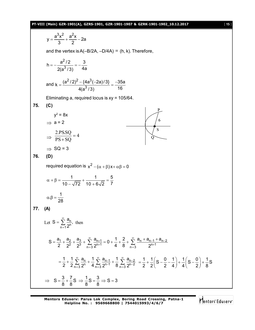#### **PT-VIII (Main) GZR-1901(A), GZRS-1901, GZR-1901-1907 & GZRK-1901-1902\_10.12.2017** [ **15** ]

$$
y = \frac{a^3x^2}{3} + \frac{a^2x}{2} - 2a
$$
  
\nand the vertex is A(-B/ZA, -D/AA) = (h, k). Therefore,  
\n
$$
h = -\frac{a^2/2}{2(a^3/3)} = -\frac{3}{4a}
$$
  
\nand  $k = \frac{(a^2/2)^2 - (4a^3(-2a)/3)}{4(a^3/3)} = \frac{-35a}{16}$   
\nEliminating a, required locus is xy = 105/64.  
\n75. (C)  
\n
$$
y^2 = 8x
$$
  
\n $\Rightarrow a = 2$   
\n $\Rightarrow 2 \text{ PSSO} = 4$   
\n $\Rightarrow 8Q = 3$   
\n76. (D)  
\nrequired equation is  $x^2 - (\alpha + \beta)x + \alpha\beta = 0$   
\n $\alpha + \beta = \frac{1}{10 - \sqrt{72}} + \frac{1}{10 + 6\sqrt{2}} = \frac{5}{7}$   
\n $\alpha + \beta = \frac{1}{28}$   
\n77. (A)  
\nLet  $S = \sum_{n=1}^{\infty} \frac{a_n}{2^n}$ , then  
\n
$$
S = \frac{a_1}{2} + \frac{a_2}{2} + \frac{a_3}{2} + \sum_{n=3}^{\infty} \frac{a_{n+1}}{2^{n+1}} = 0 + \frac{1}{4} + \frac{2}{8} + \sum_{n=3}^{\infty} \frac{a_n + a_{n-1} + a_{n-2}}{2^{n+1}}
$$
  
\n
$$
= \frac{1}{2} + \frac{1}{2} \sum_{n=3}^{\infty} \frac{a_n}{2^n} + \frac{1}{4} \sum_{n=3}^{\infty} \frac{a_{n-1}}{2^{n+1}} + \frac{1}{8} \sum_{n=3}^{\infty} \frac{a_{n-2}}{2^{n-2}} = \frac{1}{2} + \frac{1}{2} \left( S - \frac{0}{2} - \frac{1}{4} \right) + \frac{1}{4} \left( S - \frac{0}{2} \right) + \frac{1}{8} S
$$
  
\n $\Rightarrow S = \frac{3}{8} + \frac{7}{8} S \Rightarrow \frac{1}{8} S = \frac$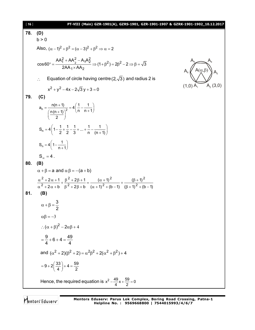| [16] | PT-VIII (Main) GZR-1901(A), GZRS-1901, GZR-1901-1907 & GZRK-1901-1902_10.12.2017                                                                                                                              |                                      |
|------|---------------------------------------------------------------------------------------------------------------------------------------------------------------------------------------------------------------|--------------------------------------|
| 78.  | (D)                                                                                                                                                                                                           |                                      |
|      | b > 0                                                                                                                                                                                                         |                                      |
|      | Also, $(\alpha - 1)^2 + \beta^2 = (\alpha - 3)^2 + \beta^2 \Rightarrow \alpha = 2$                                                                                                                            |                                      |
|      | $\cos 60^\circ = \frac{AA_1^2 + AA_2^2 - A_1A_2^2}{2AA_2 \times AA_2} \Rightarrow (1+\beta^2) = 2\beta^2 - 2 \Rightarrow \beta = \sqrt{3}$                                                                    | $A(\alpha, \beta)$                   |
|      | Equation of circle having centre (2, $\sqrt{3}$ ) and radius 2 is<br>$\mathcal{L}$                                                                                                                            |                                      |
|      | $x^{2} + y^{2} - 4x - 2\sqrt{3}y + 3 = 0$                                                                                                                                                                     | $A_2(3,0)$<br>$(1,0)$ A <sub>1</sub> |
| 79.  | (C)                                                                                                                                                                                                           |                                      |
|      | $a_n = {n(n+1) \over \left( {n(n+1) \over n} \right)^2} = 4 \left( {1 \over n} - {1 \over n+1} \right)$                                                                                                       |                                      |
|      | $S_n = 4\left(1-\frac{1}{2}+\frac{1}{2}-\frac{1}{3}++\frac{1}{n}-\frac{1}{(n+1)}\right)$                                                                                                                      |                                      |
|      | $S_n = 4\left(1 - \frac{1}{n+1}\right)$                                                                                                                                                                       |                                      |
|      | $S_{\infty} = 4$ .                                                                                                                                                                                            |                                      |
| 80.  | (B)                                                                                                                                                                                                           |                                      |
|      | $\alpha + \beta = a$ and $\alpha \beta = -(a + b)$                                                                                                                                                            |                                      |
|      | $\frac{\alpha^2 + 2\alpha + 1}{\alpha^2 + 2\alpha + b} + \frac{\beta^2 + 2\beta + 1}{\beta^2 + 2\beta + b} = \frac{(\alpha + 1)^2}{(\alpha + 1)^2 + (b - 1)} + \frac{(\beta + 1)^2}{(\beta + 1)^2 + (b - 1)}$ |                                      |
| 81.  | (B)                                                                                                                                                                                                           |                                      |
|      | $\alpha + \beta = \frac{3}{2}$                                                                                                                                                                                |                                      |
|      | $\alpha\beta = -3$                                                                                                                                                                                            |                                      |
|      | : $(\alpha + \beta)^2 - 2\alpha\beta + 4$                                                                                                                                                                     |                                      |
|      | $=\frac{9}{4}+6+4=\frac{49}{4}$                                                                                                                                                                               |                                      |
|      | and $(\alpha^2 + 2)(\beta^2 + 2) = \alpha^2 \beta^2 + 2(\alpha^2 + \beta^2) + 4$                                                                                                                              |                                      |
|      | $=9+2\left(\frac{33}{4}\right)+4=\frac{59}{2}$                                                                                                                                                                |                                      |
|      | Hence, the required equation is $x^2 - \frac{49}{4}x + \frac{59}{2} = 0$                                                                                                                                      |                                      |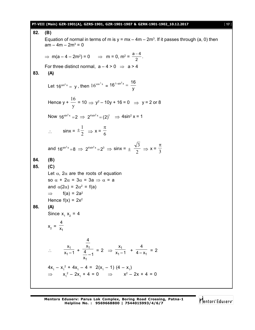#### **PT-VIII (Main) GZR-1901(A), GZRS-1901, GZR-1901-1907 & GZRK-1901-1902\_10.12.2017** [ **17** ]

**82. (B)** Equation of normal in terms of m is  $y = mx - 4m - 2m^3$ . If it passes through (a, 0) then  $am - 4m - 2m^3 = 0$ ⇒ m(a – 4 – 2m<sup>2</sup>) = 0 ⇒ m = 0, m<sup>2</sup> =  $\frac{a-4}{2}$ 2  $\frac{-4}{2}$ . For three distinct normal,  $a - 4 > 0 \Rightarrow a > 4$ **83. (A)** Let 16<sup>sin<sup>2</sup>x</sup> = y, then  $16^{\cos^2 x}$  = 16<sup>1-sin<sup>2</sup>x =  $\frac{16}{y}$ </sup> y  $e^{-\sin^2 x} =$ Hence y + y 16  $= 10 \Rightarrow y^2 - 10y + 16 = 0 \Rightarrow y = 2 \text{ or } 8$ Now  $16^{\sin^2 x} = 2 \implies 2^{4\sin^2 x} = (2)^1 \implies 4\sin^2 x = 1$  $\therefore$  sinx =  $\pm \frac{1}{2}$  $\pm \frac{1}{2}$   $\Rightarrow$  x =  $\frac{\pi}{6}$ and  $16^{\sin^2 x} = 8 \implies 2^{4\sin^2 x} = 2^3 \implies \sin x = \pm \frac{\sqrt{3}}{2}$ 3  $\Rightarrow$  x =  $\frac{1}{3}$  $\pi$ **84. (B) 85. (C)** Let  $\alpha$ ,  $2\alpha$  are the roots of equation so  $\alpha + 2\alpha = 3\alpha = 3a \Rightarrow \alpha = a$ and  $\alpha(2\alpha) = 2\alpha^2 = f(a)$  $\Rightarrow$  f(a) = 2a<sup>2</sup> Hence  $f(x) = 2x^2$ **86. (A)** Since  $x_1$   $x_2$  = 4  $x_2 = \frac{1}{x_1}$ 4 x  $\therefore \frac{x_1}{x_1-1}$ 1 x  $\frac{x_1}{x_1-1} + \frac{x_1}{4}$ 1 4 x  $\frac{4}{x_1}$  – 1  $= 2 \Rightarrow \frac{\lambda_1}{\lambda_1 - \lambda_2}$ 1 x  $\frac{1}{x_1-1}$  +  $\frac{1}{4-x_1}$ 4  $\frac{1}{4-x_1}$  = 2  $4x_1 - x_1^2 + 4x_1 - 4 = 2(x_1 - 1) (4 - x_1)$  $\Rightarrow$   $x_1^2 - 2x_1 + 4 = 0$   $\Rightarrow$   $x^2 - 2x + 4 = 0$